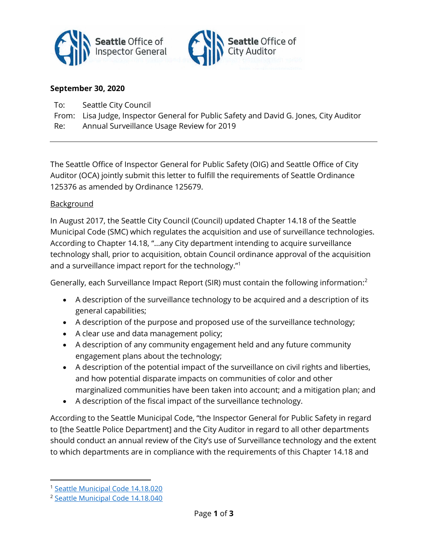



## September 30, 2020

- To: Seattle City Council
- From: Lisa Judge, Inspector General for Public Safety and David G. Jones, City Auditor

Re: Annual Surveillance Usage Review for 2019

The Seattle Office of Inspector General for Public Safety (OIG) and Seattle Office of City Auditor (OCA) jointly submit this letter to fulfill the requirements of Seattle Ordinance 125376 as amended by Ordinance 125679.

## **Background**

In August 2017, the Seattle City Council (Council) updated Chapter 14.18 of the Seattle Municipal Code (SMC) which regulates the acquisition and use of surveillance technologies. According to Chapter 14.18, "…any City department intending to acquire surveillance technology shall, prior to acquisition, obtain Council ordinance approval of the acquisition and a surveillance impact report for the technology."<sup>1</sup>

Generally, each Surveillance Impact Report (SIR) must contain the following information:<sup>2</sup>

- A description of the surveillance technology to be acquired and a description of its general capabilities;
- A description of the purpose and proposed use of the surveillance technology;
- A clear use and data management policy;
- A description of any community engagement held and any future community engagement plans about the technology;
- A description of the potential impact of the surveillance on civil rights and liberties, and how potential disparate impacts on communities of color and other marginalized communities have been taken into account; and a mitigation plan; and
- A description of the fiscal impact of the surveillance technology.

According to the Seattle Municipal Code, "the Inspector General for Public Safety in regard to [the Seattle Police Department] and the City Auditor in regard to all other departments should conduct an annual review of the City's use of Surveillance technology and the extent to which departments are in compliance with the requirements of this Chapter 14.18 and

<sup>1</sup> Seattle Municipal Code 14.18.020

<sup>2</sup> Seattle Municipal Code 14.18.040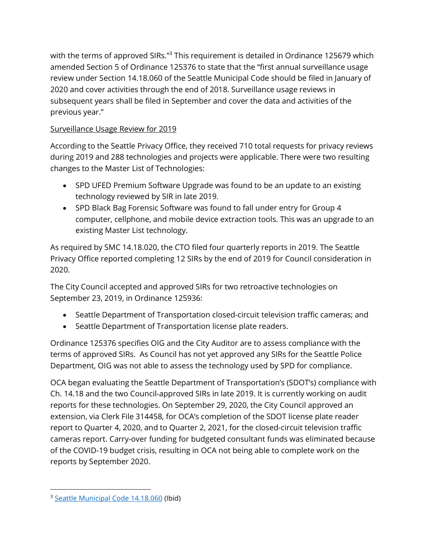with the terms of approved SIRs."<sup>3</sup> This requirement is detailed in Ordinance 125679 which amended Section 5 of Ordinance 125376 to state that the "first annual surveillance usage review under Section 14.18.060 of the Seattle Municipal Code should be filed in January of 2020 and cover activities through the end of 2018. Surveillance usage reviews in subsequent years shall be filed in September and cover the data and activities of the previous year."

## Surveillance Usage Review for 2019

According to the Seattle Privacy Office, they received 710 total requests for privacy reviews during 2019 and 288 technologies and projects were applicable. There were two resulting changes to the Master List of Technologies:

- SPD UFED Premium Software Upgrade was found to be an update to an existing technology reviewed by SIR in late 2019.
- SPD Black Bag Forensic Software was found to fall under entry for Group 4 computer, cellphone, and mobile device extraction tools. This was an upgrade to an existing Master List technology.

As required by SMC 14.18.020, the CTO filed four quarterly reports in 2019. The Seattle Privacy Office reported completing 12 SIRs by the end of 2019 for Council consideration in 2020.

The City Council accepted and approved SIRs for two retroactive technologies on September 23, 2019, in Ordinance 125936:

- Seattle Department of Transportation closed-circuit television traffic cameras; and
- Seattle Department of Transportation license plate readers.

Ordinance 125376 specifies OIG and the City Auditor are to assess compliance with the terms of approved SIRs. As Council has not yet approved any SIRs for the Seattle Police Department, OIG was not able to assess the technology used by SPD for compliance.

OCA began evaluating the Seattle Department of Transportation's (SDOT's) compliance with Ch. 14.18 and the two Council-approved SIRs in late 2019. It is currently working on audit reports for these technologies. On September 29, 2020, the City Council approved an extension, via Clerk File 314458, for OCA's completion of the SDOT license plate reader report to Quarter 4, 2020, and to Quarter 2, 2021, for the closed-circuit television traffic cameras report. Carry-over funding for budgeted consultant funds was eliminated because of the COVID-19 budget crisis, resulting in OCA not being able to complete work on the reports by September 2020.

<sup>3</sup> Seattle Municipal Code 14.18.060 (Ibid)